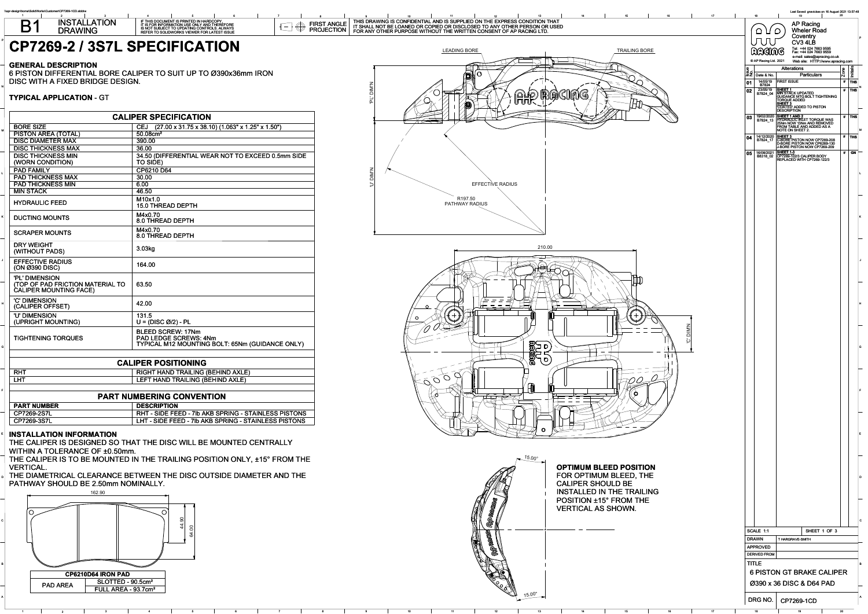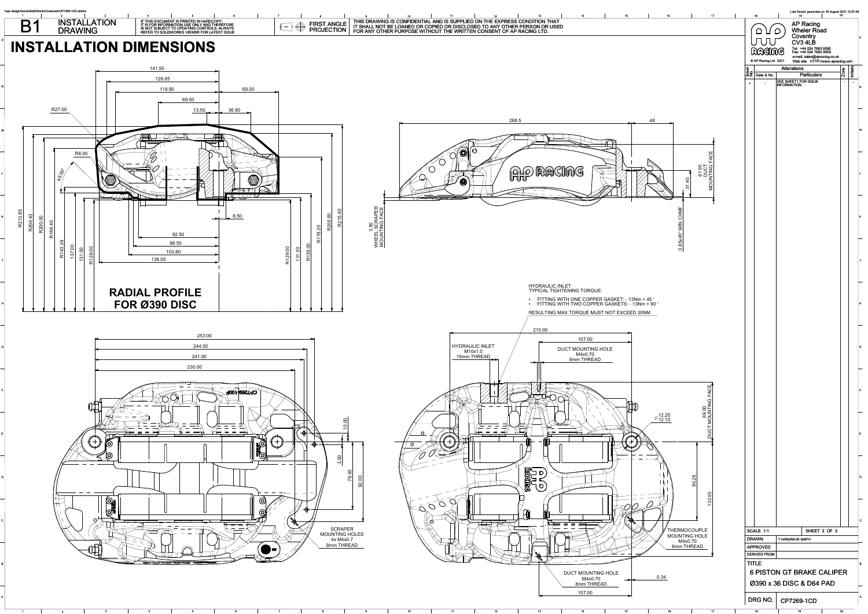